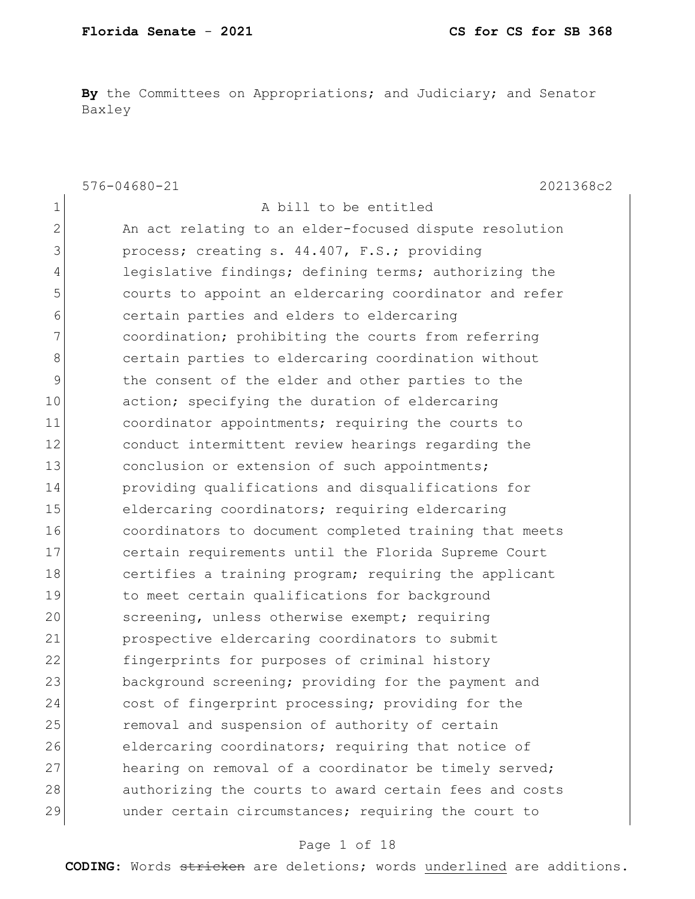**By** the Committees on Appropriations; and Judiciary; and Senator Baxley

|              | $576 - 04680 - 21$<br>2021368c2                        |
|--------------|--------------------------------------------------------|
| 1            | A bill to be entitled                                  |
| $\mathbf{2}$ | An act relating to an elder-focused dispute resolution |
| 3            | process; creating s. 44.407, F.S.; providing           |
| 4            | legislative findings; defining terms; authorizing the  |
| 5            | courts to appoint an eldercaring coordinator and refer |
| 6            | certain parties and elders to eldercaring              |
| 7            | coordination; prohibiting the courts from referring    |
| $8\,$        | certain parties to eldercaring coordination without    |
| 9            | the consent of the elder and other parties to the      |
| 10           | action; specifying the duration of eldercaring         |
| 11           | coordinator appointments; requiring the courts to      |
| 12           | conduct intermittent review hearings regarding the     |
| 13           | conclusion or extension of such appointments;          |
| 14           | providing qualifications and disqualifications for     |
| 15           | eldercaring coordinators; requiring eldercaring        |
| 16           | coordinators to document completed training that meets |
| 17           | certain requirements until the Florida Supreme Court   |
| 18           | certifies a training program; requiring the applicant  |
| 19           | to meet certain qualifications for background          |
| 20           | screening, unless otherwise exempt; requiring          |
| 21           | prospective eldercaring coordinators to submit         |
| 22           | fingerprints for purposes of criminal history          |
| 23           | background screening; providing for the payment and    |
| 24           | cost of fingerprint processing; providing for the      |
| 25           | removal and suspension of authority of certain         |
| 26           | eldercaring coordinators; requiring that notice of     |
| 27           | hearing on removal of a coordinator be timely served;  |
| 28           | authorizing the courts to award certain fees and costs |
| 29           | under certain circumstances; requiring the court to    |

### Page 1 of 18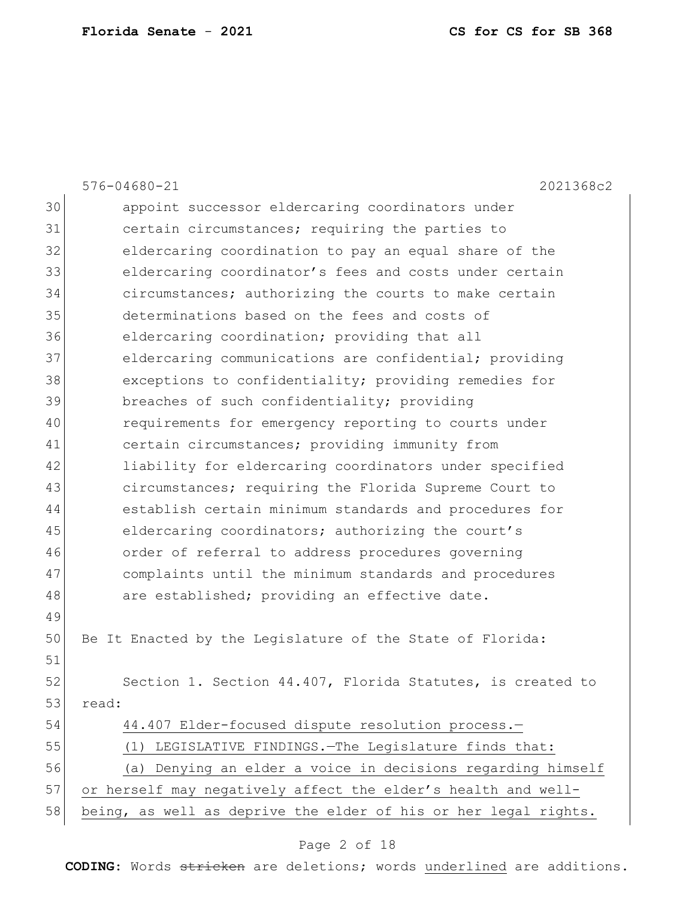|    | $576 - 04680 - 21$<br>2021368c2                                 |
|----|-----------------------------------------------------------------|
| 30 | appoint successor eldercaring coordinators under                |
| 31 | certain circumstances; requiring the parties to                 |
| 32 | eldercaring coordination to pay an equal share of the           |
| 33 | eldercaring coordinator's fees and costs under certain          |
| 34 | circumstances; authorizing the courts to make certain           |
| 35 | determinations based on the fees and costs of                   |
| 36 | eldercaring coordination; providing that all                    |
| 37 | eldercaring communications are confidential; providing          |
| 38 | exceptions to confidentiality; providing remedies for           |
| 39 | breaches of such confidentiality; providing                     |
| 40 | requirements for emergency reporting to courts under            |
| 41 | certain circumstances; providing immunity from                  |
| 42 | liability for eldercaring coordinators under specified          |
| 43 | circumstances; requiring the Florida Supreme Court to           |
| 44 | establish certain minimum standards and procedures for          |
| 45 | eldercaring coordinators; authorizing the court's               |
| 46 | order of referral to address procedures governing               |
| 47 | complaints until the minimum standards and procedures           |
| 48 | are established; providing an effective date.                   |
| 49 |                                                                 |
| 50 | Be It Enacted by the Legislature of the State of Florida:       |
| 51 |                                                                 |
| 52 | Section 1. Section 44.407, Florida Statutes, is created to      |
| 53 | read:                                                           |
| 54 | 44.407 Elder-focused dispute resolution process.-               |
| 55 | LEGISLATIVE FINDINGS. - The Legislature finds that:<br>(1)      |
| 56 | Denying an elder a voice in decisions regarding himself<br>(a)  |
| 57 | or herself may negatively affect the elder's health and well-   |
| 58 | being, as well as deprive the elder of his or her legal rights. |
|    |                                                                 |

# Page 2 of 18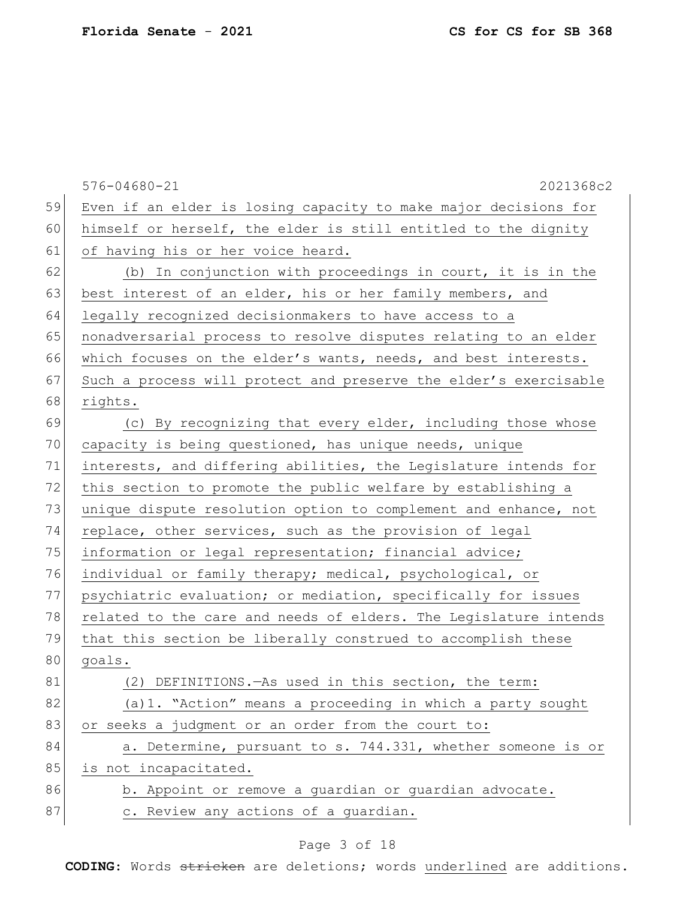|    | $576 - 04680 - 21$<br>2021368c2                                  |
|----|------------------------------------------------------------------|
| 59 | Even if an elder is losing capacity to make major decisions for  |
| 60 | himself or herself, the elder is still entitled to the dignity   |
| 61 | of having his or her voice heard.                                |
| 62 | (b) In conjunction with proceedings in court, it is in the       |
| 63 | best interest of an elder, his or her family members, and        |
| 64 | legally recognized decisionmakers to have access to a            |
| 65 | nonadversarial process to resolve disputes relating to an elder  |
| 66 | which focuses on the elder's wants, needs, and best interests.   |
| 67 | Such a process will protect and preserve the elder's exercisable |
| 68 | rights.                                                          |
| 69 | (c) By recognizing that every elder, including those whose       |
| 70 | capacity is being questioned, has unique needs, unique           |
| 71 | interests, and differing abilities, the Legislature intends for  |
| 72 | this section to promote the public welfare by establishing a     |
| 73 | unique dispute resolution option to complement and enhance, not  |
| 74 | replace, other services, such as the provision of legal          |
| 75 | information or legal representation; financial advice;           |
| 76 | individual or family therapy; medical, psychological, or         |
| 77 | psychiatric evaluation; or mediation, specifically for issues    |
| 78 | related to the care and needs of elders. The Legislature intends |
| 79 | that this section be liberally construed to accomplish these     |
| 80 | goals.                                                           |
| 81 | DEFINITIONS. - As used in this section, the term:<br>(2)         |
| 82 | (a) 1. "Action" means a proceeding in which a party sought       |
| 83 | or seeks a judgment or an order from the court to:               |
| 84 | a. Determine, pursuant to s. 744.331, whether someone is or      |
| 85 | is not incapacitated.                                            |
| 86 | b. Appoint or remove a guardian or guardian advocate.            |
| 87 | c. Review any actions of a quardian.                             |
|    |                                                                  |

# Page 3 of 18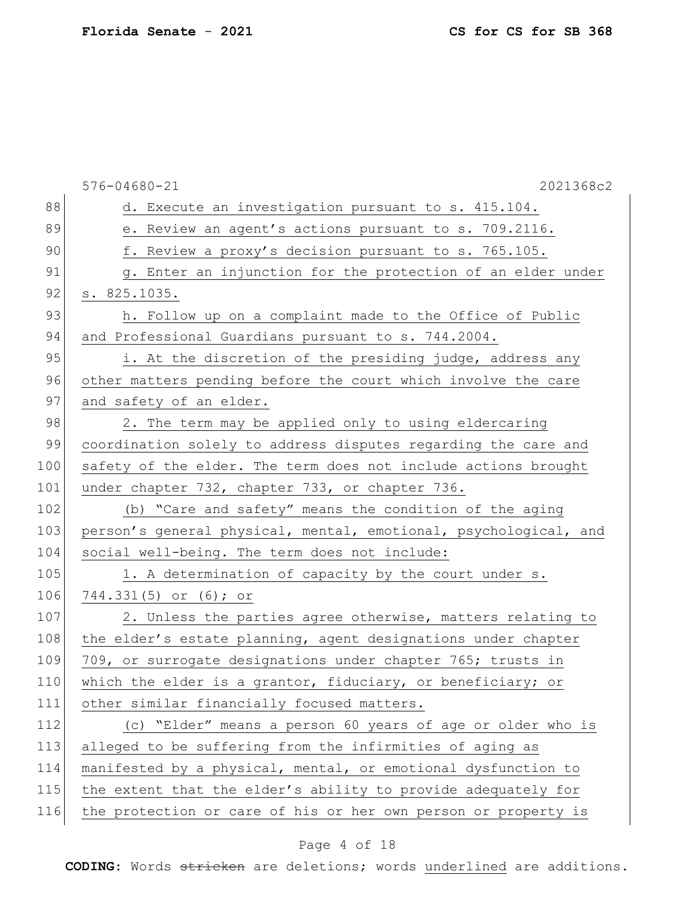|     | $576 - 04680 - 21$<br>2021368c2                                  |
|-----|------------------------------------------------------------------|
| 88  | d. Execute an investigation pursuant to s. 415.104.              |
| 89  | e. Review an agent's actions pursuant to s. 709.2116.            |
| 90  | f. Review a proxy's decision pursuant to s. 765.105.             |
| 91  | g. Enter an injunction for the protection of an elder under      |
| 92  | s. 825.1035.                                                     |
| 93  | h. Follow up on a complaint made to the Office of Public         |
| 94  | and Professional Guardians pursuant to s. 744.2004.              |
| 95  | i. At the discretion of the presiding judge, address any         |
| 96  | other matters pending before the court which involve the care    |
| 97  | and safety of an elder.                                          |
| 98  | 2. The term may be applied only to using eldercaring             |
| 99  | coordination solely to address disputes regarding the care and   |
| 100 | safety of the elder. The term does not include actions brought   |
| 101 | under chapter 732, chapter 733, or chapter 736.                  |
| 102 | (b) "Care and safety" means the condition of the aging           |
| 103 | person's general physical, mental, emotional, psychological, and |
| 104 | social well-being. The term does not include:                    |
| 105 | 1. A determination of capacity by the court under s.             |
| 106 | 744.331(5) or (6); or                                            |
| 107 | 2. Unless the parties agree otherwise, matters relating to       |
| 108 | the elder's estate planning, agent designations under chapter    |
| 109 | 709, or surrogate designations under chapter 765; trusts in      |
| 110 | which the elder is a grantor, fiduciary, or beneficiary; or      |
| 111 | other similar financially focused matters.                       |
| 112 | (c) "Elder" means a person 60 years of age or older who is       |
| 113 | alleged to be suffering from the infirmities of aging as         |
| 114 | manifested by a physical, mental, or emotional dysfunction to    |
| 115 | the extent that the elder's ability to provide adequately for    |
| 116 | the protection or care of his or her own person or property is   |
|     |                                                                  |

# Page 4 of 18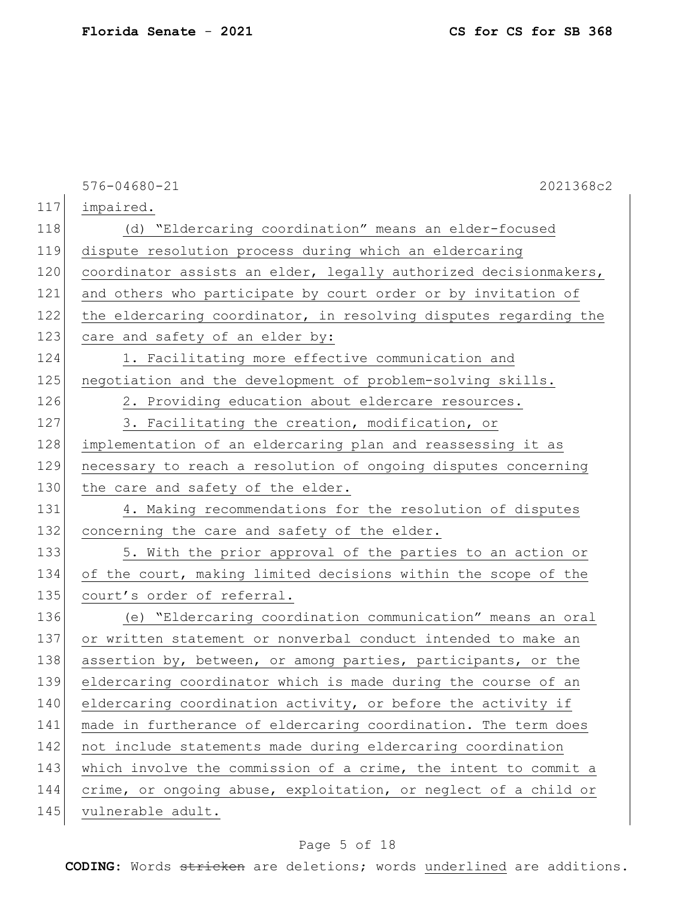|     | $576 - 04680 - 21$<br>2021368c2                                  |
|-----|------------------------------------------------------------------|
| 117 | impaired.                                                        |
| 118 | (d) "Eldercaring coordination" means an elder-focused            |
| 119 | dispute resolution process during which an eldercaring           |
| 120 | coordinator assists an elder, legally authorized decisionmakers, |
| 121 | and others who participate by court order or by invitation of    |
| 122 | the eldercaring coordinator, in resolving disputes regarding the |
| 123 | care and safety of an elder by:                                  |
| 124 | 1. Facilitating more effective communication and                 |
| 125 | negotiation and the development of problem-solving skills.       |
| 126 | 2. Providing education about eldercare resources.                |
| 127 | 3. Facilitating the creation, modification, or                   |
| 128 | implementation of an eldercaring plan and reassessing it as      |
| 129 | necessary to reach a resolution of ongoing disputes concerning   |
| 130 | the care and safety of the elder.                                |
| 131 | 4. Making recommendations for the resolution of disputes         |
| 132 | concerning the care and safety of the elder.                     |
| 133 | 5. With the prior approval of the parties to an action or        |
| 134 | of the court, making limited decisions within the scope of the   |
| 135 | court's order of referral.                                       |
| 136 | (e) "Eldercaring coordination communication" means an oral       |
| 137 | or written statement or nonverbal conduct intended to make an    |
| 138 | assertion by, between, or among parties, participants, or the    |
| 139 | eldercaring coordinator which is made during the course of an    |
| 140 | eldercaring coordination activity, or before the activity if     |
| 141 | made in furtherance of eldercaring coordination. The term does   |
| 142 | not include statements made during eldercaring coordination      |
| 143 | which involve the commission of a crime, the intent to commit a  |
| 144 | crime, or ongoing abuse, exploitation, or neglect of a child or  |
| 145 | vulnerable adult.                                                |

# Page 5 of 18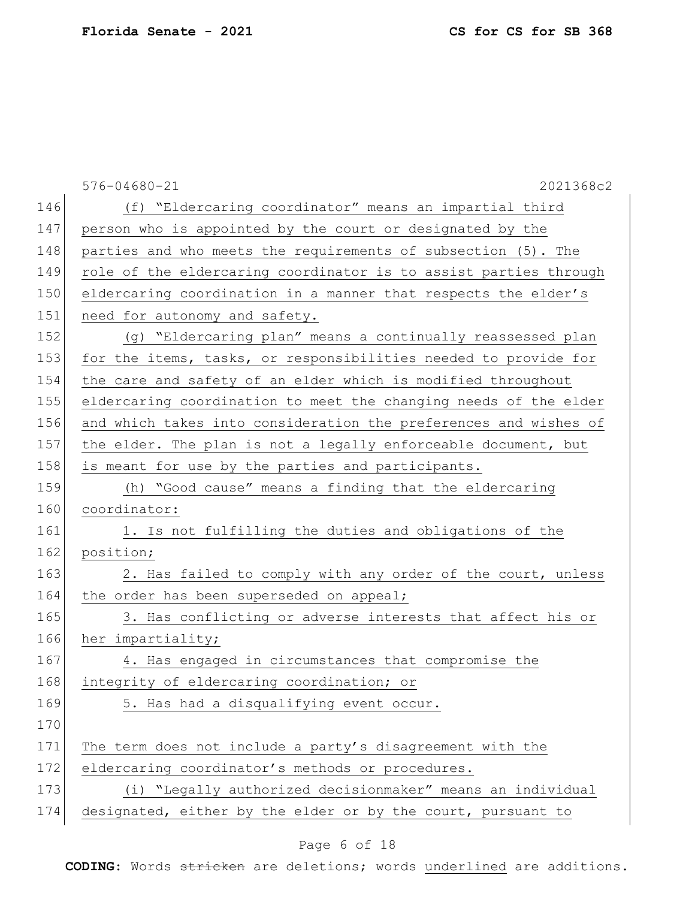|     | $576 - 04680 - 21$<br>2021368c2                                  |
|-----|------------------------------------------------------------------|
| 146 | (f) "Eldercaring coordinator" means an impartial third           |
| 147 | person who is appointed by the court or designated by the        |
| 148 | parties and who meets the requirements of subsection (5). The    |
| 149 | role of the eldercaring coordinator is to assist parties through |
| 150 | eldercaring coordination in a manner that respects the elder's   |
| 151 | need for autonomy and safety.                                    |
| 152 | (g) "Eldercaring plan" means a continually reassessed plan       |
| 153 | for the items, tasks, or responsibilities needed to provide for  |
| 154 | the care and safety of an elder which is modified throughout     |
| 155 | eldercaring coordination to meet the changing needs of the elder |
| 156 | and which takes into consideration the preferences and wishes of |
| 157 | the elder. The plan is not a legally enforceable document, but   |
| 158 | is meant for use by the parties and participants.                |
| 159 | (h) "Good cause" means a finding that the eldercaring            |
| 160 | coordinator:                                                     |
| 161 | 1. Is not fulfilling the duties and obligations of the           |
| 162 | position;                                                        |
| 163 | 2. Has failed to comply with any order of the court, unless      |
| 164 | the order has been superseded on appeal;                         |
| 165 | 3. Has conflicting or adverse interests that affect his or       |
| 166 | her impartiality;                                                |
| 167 | 4. Has engaged in circumstances that compromise the              |
| 168 | integrity of eldercaring coordination; or                        |
| 169 | 5. Has had a disqualifying event occur.                          |
| 170 |                                                                  |
| 171 | The term does not include a party's disagreement with the        |
| 172 | eldercaring coordinator's methods or procedures.                 |
| 173 | (i) "Legally authorized decisionmaker" means an individual       |
| 174 | designated, either by the elder or by the court, pursuant to     |
|     |                                                                  |

# Page 6 of 18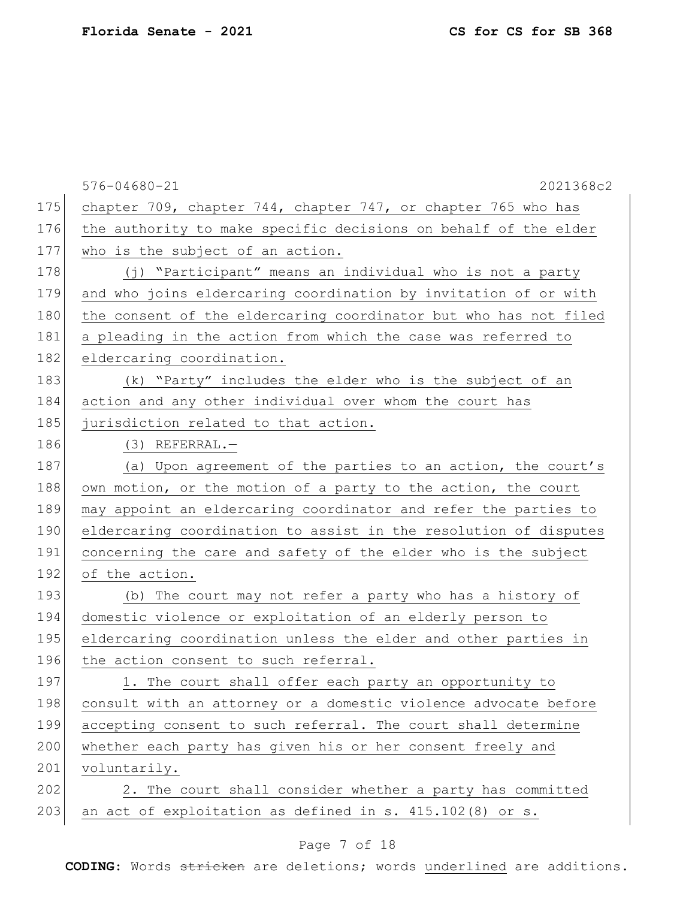|     | $576 - 04680 - 21$<br>2021368c2                                  |
|-----|------------------------------------------------------------------|
| 175 | chapter 709, chapter 744, chapter 747, or chapter 765 who has    |
| 176 | the authority to make specific decisions on behalf of the elder  |
| 177 | who is the subject of an action.                                 |
| 178 | (j) "Participant" means an individual who is not a party         |
| 179 | and who joins eldercaring coordination by invitation of or with  |
| 180 | the consent of the eldercaring coordinator but who has not filed |
| 181 | a pleading in the action from which the case was referred to     |
| 182 | eldercaring coordination.                                        |
| 183 | (k) "Party" includes the elder who is the subject of an          |
| 184 | action and any other individual over whom the court has          |
| 185 | jurisdiction related to that action.                             |
| 186 | $(3)$ REFERRAL.-                                                 |
| 187 | (a) Upon agreement of the parties to an action, the court's      |
| 188 | own motion, or the motion of a party to the action, the court    |
| 189 | may appoint an eldercaring coordinator and refer the parties to  |
| 190 | eldercaring coordination to assist in the resolution of disputes |
| 191 | concerning the care and safety of the elder who is the subject   |
| 192 | of the action.                                                   |
| 193 | (b) The court may not refer a party who has a history of         |
| 194 | domestic violence or exploitation of an elderly person to        |
| 195 | eldercaring coordination unless the elder and other parties in   |
| 196 | the action consent to such referral.                             |
| 197 | 1. The court shall offer each party an opportunity to            |
| 198 | consult with an attorney or a domestic violence advocate before  |
| 199 | accepting consent to such referral. The court shall determine    |
| 200 | whether each party has given his or her consent freely and       |
| 201 | voluntarily.                                                     |
| 202 | 2. The court shall consider whether a party has committed        |
| 203 | an act of exploitation as defined in s. 415.102(8) or s.         |

# Page 7 of 18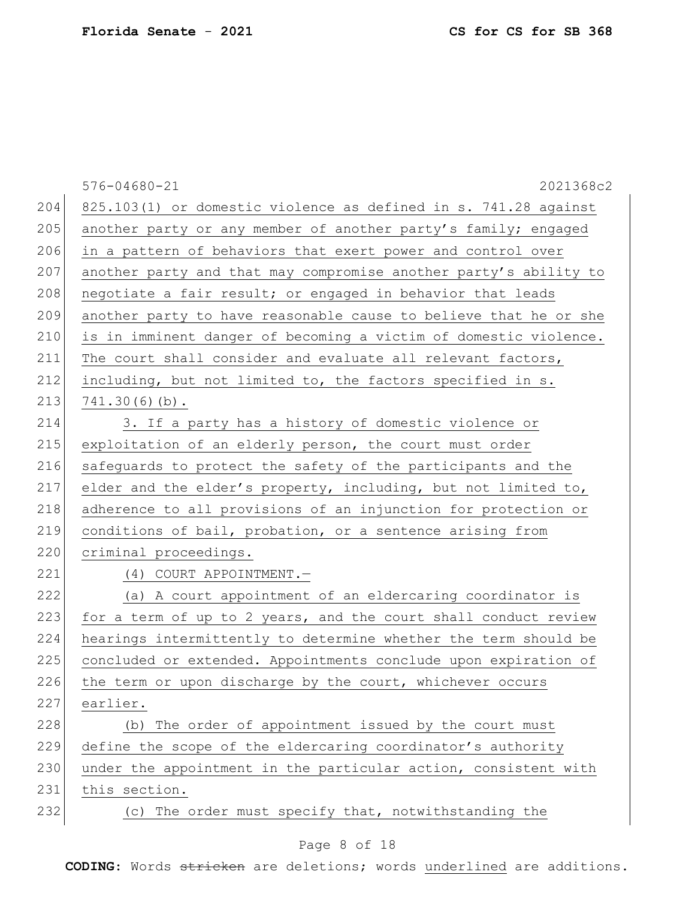|     | $576 - 04680 - 21$<br>2021368c2                                  |
|-----|------------------------------------------------------------------|
| 204 | 825.103(1) or domestic violence as defined in s. 741.28 against  |
| 205 | another party or any member of another party's family; engaged   |
| 206 | in a pattern of behaviors that exert power and control over      |
| 207 | another party and that may compromise another party's ability to |
| 208 | negotiate a fair result; or engaged in behavior that leads       |
| 209 | another party to have reasonable cause to believe that he or she |
| 210 | is in imminent danger of becoming a victim of domestic violence. |
| 211 | The court shall consider and evaluate all relevant factors,      |
| 212 | including, but not limited to, the factors specified in s.       |
| 213 | $741.30(6)(b)$ .                                                 |
| 214 | 3. If a party has a history of domestic violence or              |
| 215 | exploitation of an elderly person, the court must order          |
| 216 | safeguards to protect the safety of the participants and the     |
| 217 | elder and the elder's property, including, but not limited to,   |
| 218 | adherence to all provisions of an injunction for protection or   |
| 219 | conditions of bail, probation, or a sentence arising from        |
| 220 | criminal proceedings.                                            |
| 221 | (4) COURT APPOINTMENT.-                                          |
| 222 | (a) A court appointment of an eldercaring coordinator is         |
| 223 | for a term of up to 2 years, and the court shall conduct review  |
| 224 | hearings intermittently to determine whether the term should be  |
| 225 | concluded or extended. Appointments conclude upon expiration of  |
| 226 | the term or upon discharge by the court, whichever occurs        |
| 227 | earlier.                                                         |
| 228 | (b) The order of appointment issued by the court must            |
| 229 | define the scope of the eldercaring coordinator's authority      |
| 230 | under the appointment in the particular action, consistent with  |
| 231 | this section.                                                    |
| 232 | (c) The order must specify that, notwithstanding the             |
|     |                                                                  |

# Page 8 of 18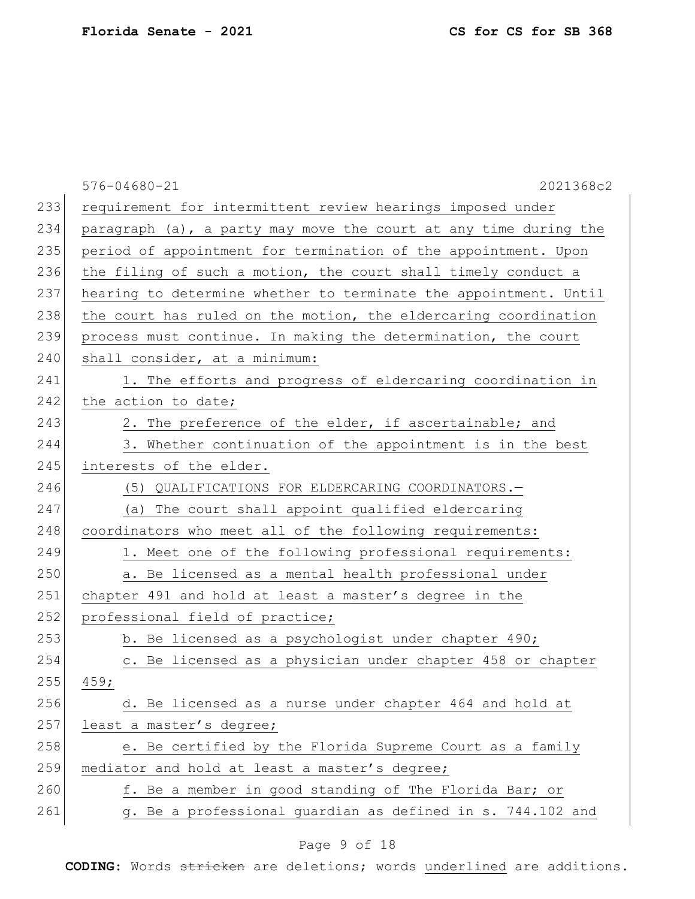|     | $576 - 04680 - 21$<br>2021368c2                                  |
|-----|------------------------------------------------------------------|
| 233 | requirement for intermittent review hearings imposed under       |
| 234 | paragraph (a), a party may move the court at any time during the |
| 235 | period of appointment for termination of the appointment. Upon   |
| 236 | the filing of such a motion, the court shall timely conduct a    |
| 237 | hearing to determine whether to terminate the appointment. Until |
| 238 | the court has ruled on the motion, the eldercaring coordination  |
| 239 | process must continue. In making the determination, the court    |
| 240 | shall consider, at a minimum:                                    |
| 241 | 1. The efforts and progress of eldercaring coordination in       |
| 242 | the action to date;                                              |
| 243 | 2. The preference of the elder, if ascertainable; and            |
| 244 | 3. Whether continuation of the appointment is in the best        |
| 245 | interests of the elder.                                          |
| 246 | (5) QUALIFICATIONS FOR ELDERCARING COORDINATORS.-                |
| 247 | (a) The court shall appoint qualified eldercaring                |
| 248 | coordinators who meet all of the following requirements:         |
| 249 | 1. Meet one of the following professional requirements:          |
| 250 | a. Be licensed as a mental health professional under             |
| 251 | chapter 491 and hold at least a master's degree in the           |
| 252 | professional field of practice;                                  |
| 253 | b. Be licensed as a psychologist under chapter 490;              |
| 254 | c. Be licensed as a physician under chapter 458 or chapter       |
| 255 | 459;                                                             |
| 256 | d. Be licensed as a nurse under chapter 464 and hold at          |
| 257 | least a master's degree;                                         |
| 258 | e. Be certified by the Florida Supreme Court as a family         |
| 259 | mediator and hold at least a master's degree;                    |
| 260 | f. Be a member in good standing of The Florida Bar; or           |
| 261 | g. Be a professional guardian as defined in s. 744.102 and       |
|     |                                                                  |

# Page 9 of 18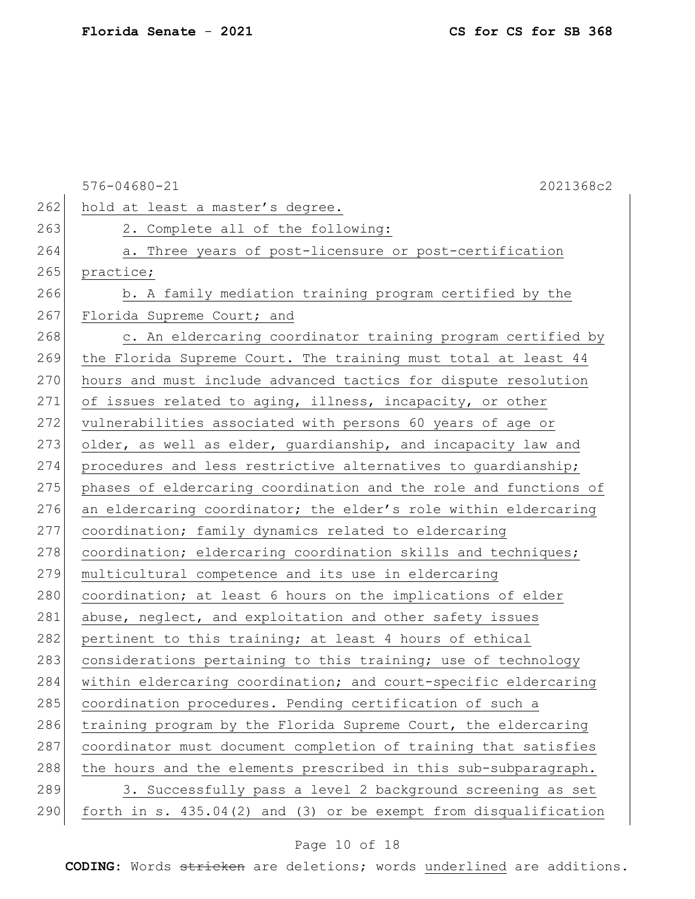|     | $576 - 04680 - 21$<br>2021368c2                                  |
|-----|------------------------------------------------------------------|
| 262 | hold at least a master's degree.                                 |
| 263 | 2. Complete all of the following:                                |
| 264 | a. Three years of post-licensure or post-certification           |
| 265 | practice;                                                        |
| 266 | b. A family mediation training program certified by the          |
| 267 | Florida Supreme Court; and                                       |
| 268 | c. An eldercaring coordinator training program certified by      |
| 269 | the Florida Supreme Court. The training must total at least 44   |
| 270 | hours and must include advanced tactics for dispute resolution   |
| 271 | of issues related to aging, illness, incapacity, or other        |
| 272 | vulnerabilities associated with persons 60 years of age or       |
| 273 | older, as well as elder, quardianship, and incapacity law and    |
| 274 | procedures and less restrictive alternatives to guardianship;    |
| 275 | phases of eldercaring coordination and the role and functions of |
| 276 | an eldercaring coordinator; the elder's role within eldercaring  |
| 277 | coordination; family dynamics related to eldercaring             |
| 278 | coordination; eldercaring coordination skills and techniques;    |
| 279 | multicultural competence and its use in eldercaring              |
| 280 | coordination; at least 6 hours on the implications of elder      |
| 281 | abuse, neglect, and exploitation and other safety issues         |
| 282 | pertinent to this training; at least 4 hours of ethical          |
| 283 | considerations pertaining to this training; use of technology    |
| 284 | within eldercaring coordination; and court-specific eldercaring  |
| 285 | coordination procedures. Pending certification of such a         |
| 286 | training program by the Florida Supreme Court, the eldercaring   |
| 287 | coordinator must document completion of training that satisfies  |
| 288 | the hours and the elements prescribed in this sub-subparagraph.  |
| 289 | 3. Successfully pass a level 2 background screening as set       |
| 290 | forth in s. 435.04(2) and (3) or be exempt from disqualification |

# Page 10 of 18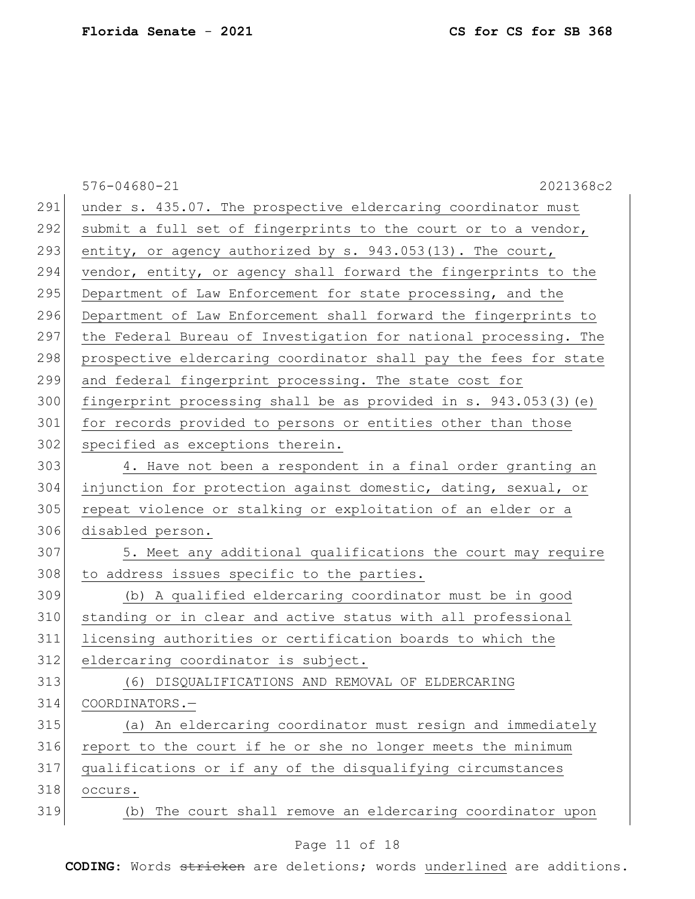|     | $576 - 04680 - 21$<br>2021368c2                                    |
|-----|--------------------------------------------------------------------|
| 291 | under s. 435.07. The prospective eldercaring coordinator must      |
| 292 | submit a full set of fingerprints to the court or to a vendor,     |
| 293 | entity, or agency authorized by s. 943.053(13). The court,         |
| 294 | vendor, entity, or agency shall forward the fingerprints to the    |
| 295 | Department of Law Enforcement for state processing, and the        |
| 296 | Department of Law Enforcement shall forward the fingerprints to    |
| 297 | the Federal Bureau of Investigation for national processing. The   |
| 298 | prospective eldercaring coordinator shall pay the fees for state   |
| 299 | and federal fingerprint processing. The state cost for             |
| 300 | fingerprint processing shall be as provided in s. $943.053(3)$ (e) |
| 301 | for records provided to persons or entities other than those       |
| 302 | specified as exceptions therein.                                   |
| 303 | 4. Have not been a respondent in a final order granting an         |
| 304 | injunction for protection against domestic, dating, sexual, or     |
| 305 | repeat violence or stalking or exploitation of an elder or a       |
| 306 | disabled person.                                                   |
| 307 | 5. Meet any additional qualifications the court may require        |
| 308 | to address issues specific to the parties.                         |
| 309 | (b) A qualified eldercaring coordinator must be in good            |
| 310 | standing or in clear and active status with all professional       |
| 311 | licensing authorities or certification boards to which the         |
| 312 | eldercaring coordinator is subject.                                |
| 313 | (6) DISQUALIFICATIONS AND REMOVAL OF ELDERCARING                   |
| 314 | COORDINATORS.-                                                     |
| 315 | (a) An eldercaring coordinator must resign and immediately         |
| 316 | report to the court if he or she no longer meets the minimum       |
| 317 | qualifications or if any of the disqualifying circumstances        |
| 318 | occurs.                                                            |
| 319 | The court shall remove an eldercaring coordinator upon<br>(b)      |
|     |                                                                    |

### Page 11 of 18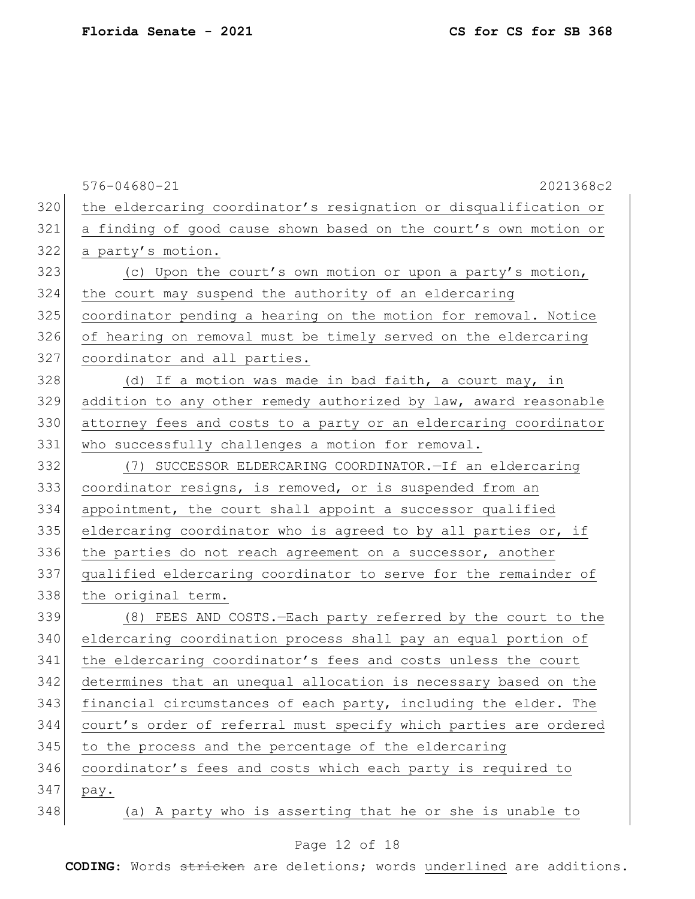|     | $576 - 04680 - 21$<br>2021368c2                                  |
|-----|------------------------------------------------------------------|
| 320 | the eldercaring coordinator's resignation or disqualification or |
| 321 | a finding of good cause shown based on the court's own motion or |
| 322 | a party's motion.                                                |
| 323 | (c) Upon the court's own motion or upon a party's motion,        |
| 324 | the court may suspend the authority of an eldercaring            |
| 325 | coordinator pending a hearing on the motion for removal. Notice  |
| 326 | of hearing on removal must be timely served on the eldercaring   |
| 327 | coordinator and all parties.                                     |
| 328 | (d) If a motion was made in bad faith, a court may, in           |
| 329 | addition to any other remedy authorized by law, award reasonable |
| 330 | attorney fees and costs to a party or an eldercaring coordinator |
| 331 | who successfully challenges a motion for removal.                |
| 332 | (7) SUCCESSOR ELDERCARING COORDINATOR. - If an eldercaring       |
| 333 | coordinator resigns, is removed, or is suspended from an         |
| 334 | appointment, the court shall appoint a successor qualified       |
| 335 | eldercaring coordinator who is agreed to by all parties or, if   |
| 336 | the parties do not reach agreement on a successor, another       |
| 337 | qualified eldercaring coordinator to serve for the remainder of  |
| 338 | the original term.                                               |
| 339 | (8) FEES AND COSTS.-Each party referred by the court to the      |
| 340 | eldercaring coordination process shall pay an equal portion of   |
| 341 | the eldercaring coordinator's fees and costs unless the court    |
| 342 | determines that an unequal allocation is necessary based on the  |
| 343 | financial circumstances of each party, including the elder. The  |
| 344 | court's order of referral must specify which parties are ordered |
| 345 | to the process and the percentage of the eldercaring             |
| 346 | coordinator's fees and costs which each party is required to     |
| 347 | pay.                                                             |
| 348 | (a) A party who is asserting that he or she is unable to         |

# Page 12 of 18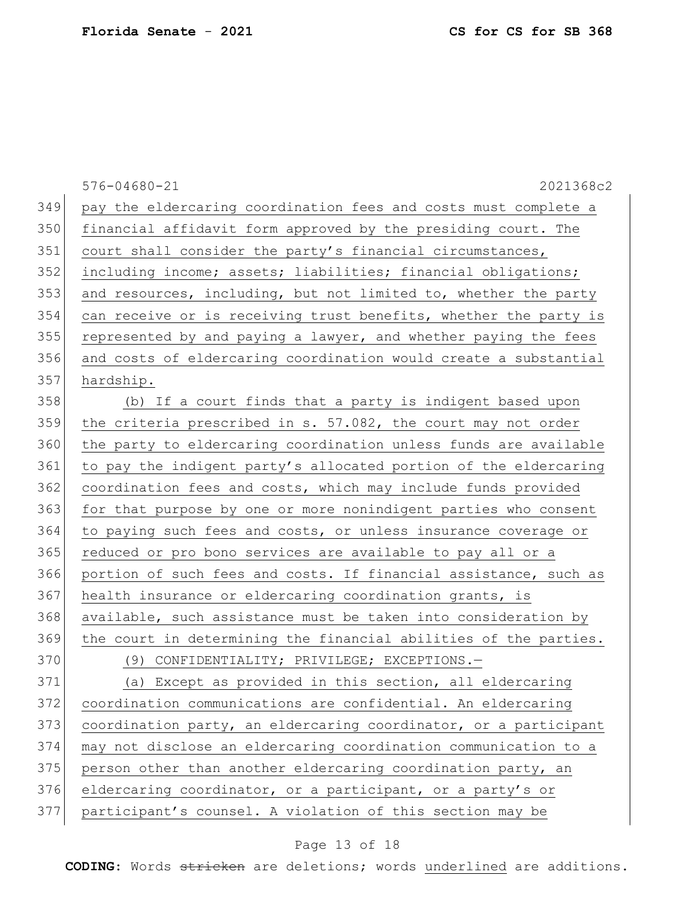|     | $576 - 04680 - 21$<br>2021368c2                                  |
|-----|------------------------------------------------------------------|
| 349 | pay the eldercaring coordination fees and costs must complete a  |
| 350 | financial affidavit form approved by the presiding court. The    |
| 351 | court shall consider the party's financial circumstances,        |
| 352 | including income; assets; liabilities; financial obligations;    |
| 353 | and resources, including, but not limited to, whether the party  |
| 354 | can receive or is receiving trust benefits, whether the party is |
| 355 | represented by and paying a lawyer, and whether paying the fees  |
| 356 | and costs of eldercaring coordination would create a substantial |
| 357 | hardship.                                                        |
| 358 | (b) If a court finds that a party is indigent based upon         |
| 359 | the criteria prescribed in s. 57.082, the court may not order    |
| 360 | the party to eldercaring coordination unless funds are available |
| 361 | to pay the indigent party's allocated portion of the eldercaring |
| 362 | coordination fees and costs, which may include funds provided    |
| 363 | for that purpose by one or more nonindigent parties who consent  |
| 364 | to paying such fees and costs, or unless insurance coverage or   |
| 365 | reduced or pro bono services are available to pay all or a       |
| 366 | portion of such fees and costs. If financial assistance, such as |
| 367 | health insurance or eldercaring coordination grants, is          |
| 368 | available, such assistance must be taken into consideration by   |
| 369 | the court in determining the financial abilities of the parties. |
| 370 | (9) CONFIDENTIALITY; PRIVILEGE; EXCEPTIONS.-                     |
| 371 | (a) Except as provided in this section, all eldercaring          |
| 372 | coordination communications are confidential. An eldercaring     |
| 373 | coordination party, an eldercaring coordinator, or a participant |
| 374 | may not disclose an eldercaring coordination communication to a  |
| 375 | person other than another eldercaring coordination party, an     |
| 376 | eldercaring coordinator, or a participant, or a party's or       |
| 377 | participant's counsel. A violation of this section may be        |

# Page 13 of 18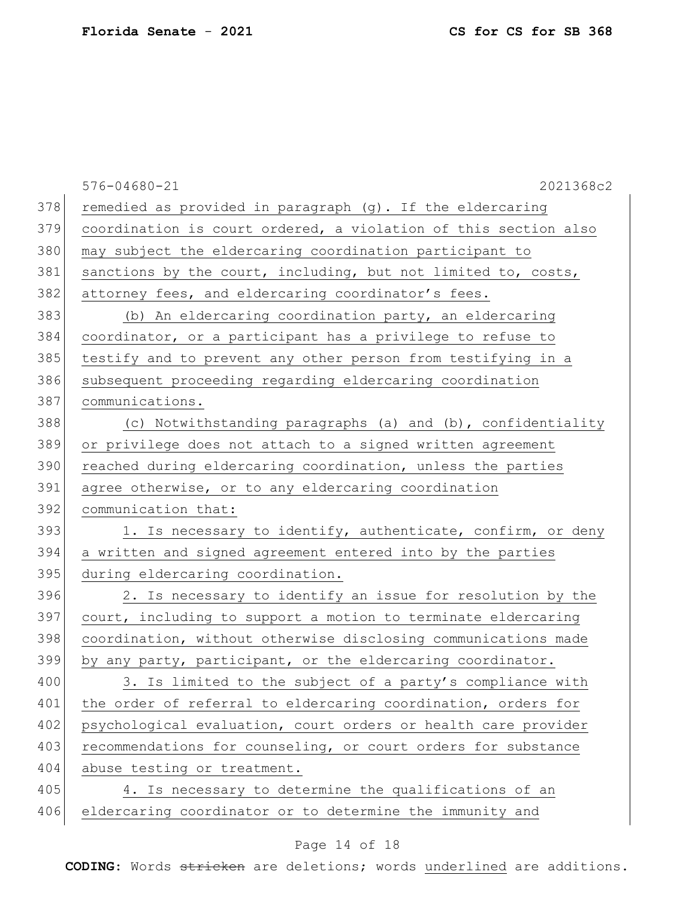|     | $576 - 04680 - 21$<br>2021368c2                                 |
|-----|-----------------------------------------------------------------|
| 378 | remedied as provided in paragraph (g). If the eldercaring       |
| 379 | coordination is court ordered, a violation of this section also |
| 380 | may subject the eldercaring coordination participant to         |
| 381 | sanctions by the court, including, but not limited to, costs,   |
| 382 | attorney fees, and eldercaring coordinator's fees.              |
| 383 | (b) An eldercaring coordination party, an eldercaring           |
| 384 | coordinator, or a participant has a privilege to refuse to      |
| 385 | testify and to prevent any other person from testifying in a    |
| 386 | subsequent proceeding regarding eldercaring coordination        |
| 387 | communications.                                                 |
| 388 | (c) Notwithstanding paragraphs (a) and (b), confidentiality     |
| 389 | or privilege does not attach to a signed written agreement      |
| 390 | reached during eldercaring coordination, unless the parties     |
| 391 | agree otherwise, or to any eldercaring coordination             |
| 392 | communication that:                                             |
| 393 | 1. Is necessary to identify, authenticate, confirm, or deny     |
| 394 | a written and signed agreement entered into by the parties      |
| 395 | during eldercaring coordination.                                |
| 396 | 2. Is necessary to identify an issue for resolution by the      |
| 397 | court, including to support a motion to terminate eldercaring   |
| 398 | coordination, without otherwise disclosing communications made  |
| 399 | by any party, participant, or the eldercaring coordinator.      |
| 400 | 3. Is limited to the subject of a party's compliance with       |
| 401 | the order of referral to eldercaring coordination, orders for   |
| 402 | psychological evaluation, court orders or health care provider  |
| 403 | recommendations for counseling, or court orders for substance   |
| 404 | abuse testing or treatment.                                     |
| 405 | 4. Is necessary to determine the qualifications of an           |
| 406 | eldercaring coordinator or to determine the immunity and        |

# Page 14 of 18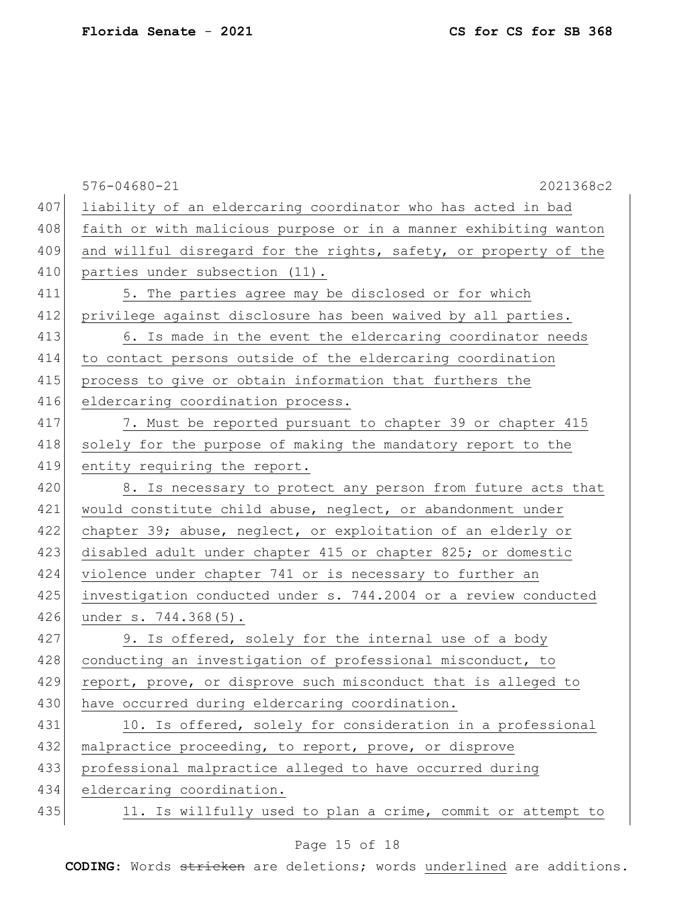|     | $576 - 04680 - 21$<br>2021368c2                                  |
|-----|------------------------------------------------------------------|
| 407 | liability of an eldercaring coordinator who has acted in bad     |
| 408 | faith or with malicious purpose or in a manner exhibiting wanton |
| 409 | and willful disregard for the rights, safety, or property of the |
| 410 | parties under subsection (11).                                   |
| 411 | 5. The parties agree may be disclosed or for which               |
| 412 | privilege against disclosure has been waived by all parties.     |
| 413 | 6. Is made in the event the eldercaring coordinator needs        |
| 414 | to contact persons outside of the eldercaring coordination       |
| 415 | process to give or obtain information that furthers the          |
| 416 | eldercaring coordination process.                                |
| 417 | 7. Must be reported pursuant to chapter 39 or chapter 415        |
| 418 | solely for the purpose of making the mandatory report to the     |
| 419 | entity requiring the report.                                     |
| 420 | 8. Is necessary to protect any person from future acts that      |
| 421 | would constitute child abuse, neglect, or abandonment under      |
| 422 | chapter 39; abuse, neglect, or exploitation of an elderly or     |
| 423 | disabled adult under chapter 415 or chapter 825; or domestic     |
| 424 | violence under chapter 741 or is necessary to further an         |
| 425 | investigation conducted under s. 744.2004 or a review conducted  |
| 426 | under s. 744.368(5).                                             |
| 427 | 9. Is offered, solely for the internal use of a body             |
| 428 | conducting an investigation of professional misconduct, to       |
| 429 | report, prove, or disprove such misconduct that is alleged to    |
| 430 | have occurred during eldercaring coordination.                   |
| 431 | 10. Is offered, solely for consideration in a professional       |
| 432 | malpractice proceeding, to report, prove, or disprove            |
| 433 | professional malpractice alleged to have occurred during         |
| 434 | eldercaring coordination.                                        |
| 435 | 11. Is willfully used to plan a crime, commit or attempt to      |
|     |                                                                  |

# Page 15 of 18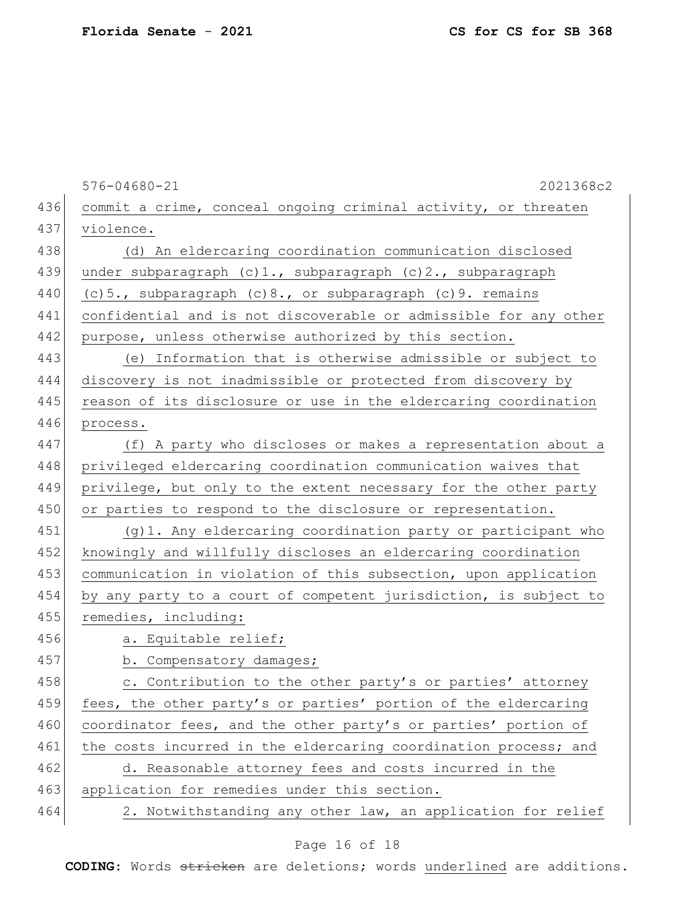|     | $576 - 04680 - 21$<br>2021368c2                                  |
|-----|------------------------------------------------------------------|
| 436 | commit a crime, conceal ongoing criminal activity, or threaten   |
| 437 | violence.                                                        |
| 438 | (d) An eldercaring coordination communication disclosed          |
| 439 | under subparagraph $(c) 1.,$ subparagraph $(c) 2.,$ subparagraph |
| 440 | (c) 5., subparagraph (c) 8., or subparagraph (c) 9. remains      |
| 441 | confidential and is not discoverable or admissible for any other |
| 442 | purpose, unless otherwise authorized by this section.            |
| 443 | (e) Information that is otherwise admissible or subject to       |
| 444 | discovery is not inadmissible or protected from discovery by     |
| 445 | reason of its disclosure or use in the eldercaring coordination  |
| 446 | process.                                                         |
| 447 | (f) A party who discloses or makes a representation about a      |
| 448 | privileged eldercaring coordination communication waives that    |
| 449 | privilege, but only to the extent necessary for the other party  |
| 450 | or parties to respond to the disclosure or representation.       |
| 451 | (g) 1. Any eldercaring coordination party or participant who     |
| 452 | knowingly and willfully discloses an eldercaring coordination    |
| 453 | communication in violation of this subsection, upon application  |
| 454 | by any party to a court of competent jurisdiction, is subject to |
| 455 | remedies, including:                                             |
| 456 | a. Equitable relief;                                             |
| 457 | b. Compensatory damages;                                         |
| 458 | c. Contribution to the other party's or parties' attorney        |
| 459 | fees, the other party's or parties' portion of the eldercaring   |
| 460 | coordinator fees, and the other party's or parties' portion of   |
| 461 | the costs incurred in the eldercaring coordination process; and  |
| 462 | d. Reasonable attorney fees and costs incurred in the            |
| 463 | application for remedies under this section.                     |
| 464 | 2. Notwithstanding any other law, an application for relief      |

# Page 16 of 18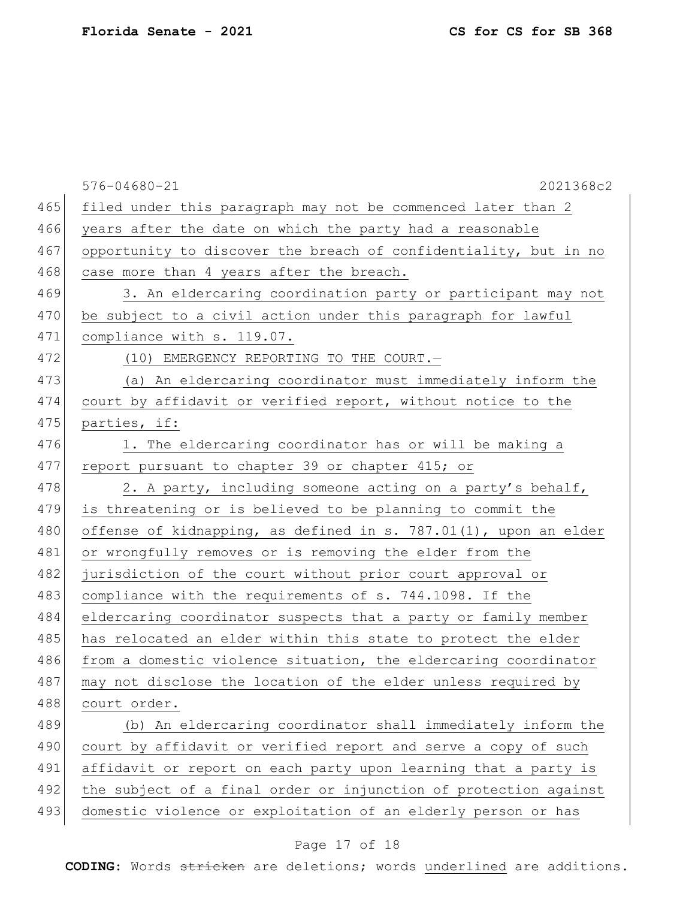|     | 2021368c2<br>$576 - 04680 - 21$                                  |
|-----|------------------------------------------------------------------|
| 465 | filed under this paragraph may not be commenced later than 2     |
| 466 | years after the date on which the party had a reasonable         |
| 467 | opportunity to discover the breach of confidentiality, but in no |
| 468 | case more than 4 years after the breach.                         |
| 469 | 3. An eldercaring coordination party or participant may not      |
| 470 | be subject to a civil action under this paragraph for lawful     |
| 471 | compliance with s. 119.07.                                       |
| 472 | (10) EMERGENCY REPORTING TO THE COURT.-                          |
| 473 | (a) An eldercaring coordinator must immediately inform the       |
| 474 | court by affidavit or verified report, without notice to the     |
| 475 | parties, if:                                                     |
| 476 | 1. The eldercaring coordinator has or will be making a           |
| 477 | report pursuant to chapter 39 or chapter 415; or                 |
| 478 | 2. A party, including someone acting on a party's behalf,        |
| 479 | is threatening or is believed to be planning to commit the       |
| 480 | offense of kidnapping, as defined in s. 787.01(1), upon an elder |
| 481 | or wrongfully removes or is removing the elder from the          |
| 482 | jurisdiction of the court without prior court approval or        |
| 483 | compliance with the requirements of s. 744.1098. If the          |
| 484 | eldercaring coordinator suspects that a party or family member   |
| 485 | has relocated an elder within this state to protect the elder    |
| 486 | from a domestic violence situation, the eldercaring coordinator  |
| 487 | may not disclose the location of the elder unless required by    |
| 488 | court order.                                                     |
| 489 | (b) An eldercaring coordinator shall immediately inform the      |
| 490 | court by affidavit or verified report and serve a copy of such   |
| 491 | affidavit or report on each party upon learning that a party is  |
| 492 | the subject of a final order or injunction of protection against |
| 493 | domestic violence or exploitation of an elderly person or has    |
|     |                                                                  |

# Page 17 of 18